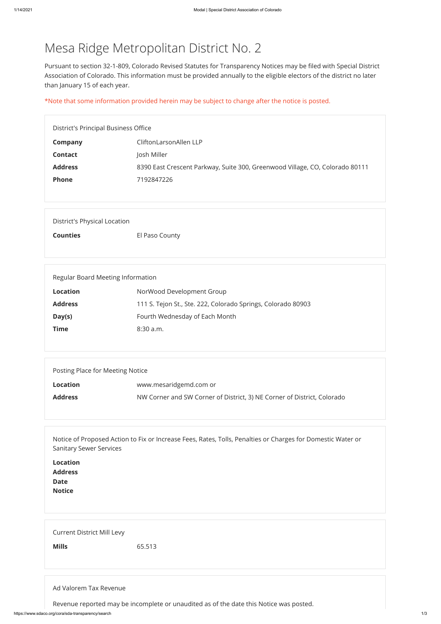## Mesa Ridge Metropolitan District No. 2

Pursuant to section 32-1-809, Colorado Revised Statutes for Transparency Notices may be filed with Special District Association of Colorado. This information must be provided annually to the eligible electors of the district no later than January 15 of each year.

\*Note that some information provided herein may be subject to change after the notice is posted.

| District's Principal Business Office |                                                                              |  |
|--------------------------------------|------------------------------------------------------------------------------|--|
| Company                              | CliftonLarsonAllen LLP                                                       |  |
| <b>Contact</b>                       | Josh Miller                                                                  |  |
| <b>Address</b>                       | 8390 East Crescent Parkway, Suite 300, Greenwood Village, CO, Colorado 80111 |  |
| <b>Phone</b>                         | 7192847226                                                                   |  |
|                                      |                                                                              |  |

| District's Physical Location |                |  |
|------------------------------|----------------|--|
| <b>Counties</b>              | El Paso County |  |

| Regular Board Meeting Information |                                                              |  |
|-----------------------------------|--------------------------------------------------------------|--|
| <b>Location</b>                   | NorWood Development Group                                    |  |
| <b>Address</b>                    | 111 S. Tejon St., Ste. 222, Colorado Springs, Colorado 80903 |  |
| Day(s)                            | Fourth Wednesday of Each Month                               |  |
| Time                              | $8:30$ a.m.                                                  |  |
|                                   |                                                              |  |

| Posting Place for Meeting Notice |                                                                         |  |
|----------------------------------|-------------------------------------------------------------------------|--|
| <b>Location</b>                  | www.mesaridgemd.com or                                                  |  |
| <b>Address</b>                   | NW Corner and SW Corner of District, 3) NE Corner of District, Colorado |  |

Notice of Proposed Action to Fix or Increase Fees, Rates, Tolls, Penalties or Charges for Domestic Water or Sanitary Sewer Services

**Location**

| <b>Address</b> |  |  |  |
|----------------|--|--|--|
| Date<br>Notice |  |  |  |
|                |  |  |  |
|                |  |  |  |
|                |  |  |  |
|                |  |  |  |
|                |  |  |  |

Current District Mill Levy

**Mills** 65.513

## Ad Valorem Tax Revenue

Revenue reported may be incomplete or unaudited as of the date this Notice was posted.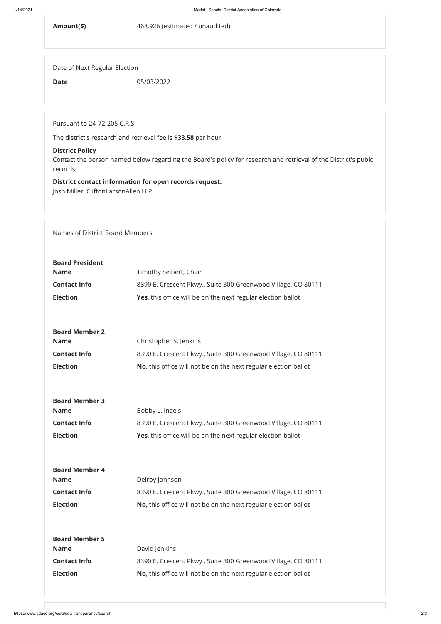**Amount(\$)** 468,926 (estimated / unaudited)

Date of Next Regular Election

**Date** 05/03/2022

Pursuant to 24-72-205 C.R.S

The district's research and retrieval fee is **\$33.58** per hour

## **District Policy**

Contact the person named below regarding the Board's policy for research and retrieval of the District's pubic records.

## **District contact information for open records request:**

Josh Miller, CliftonLarsonAllen LLP

Names of District Board Members

**Board Member 4**

| <b>Board Member 4</b> |                                                                 |  |  |
|-----------------------|-----------------------------------------------------------------|--|--|
| <b>Name</b>           | Delroy Johnson                                                  |  |  |
| <b>Contact Info</b>   | 8390 E. Crescent Pkwy., Suite 300 Greenwood Village, CO 80111   |  |  |
| <b>Election</b>       | No, this office will not be on the next regular election ballot |  |  |
|                       |                                                                 |  |  |
|                       |                                                                 |  |  |
| <b>Board Member 5</b> |                                                                 |  |  |
| <b>Name</b>           | David Jenkins                                                   |  |  |
| <b>Contact Info</b>   | 8390 E. Crescent Pkwy., Suite 300 Greenwood Village, CO 80111   |  |  |
| <b>Election</b>       | No, this office will not be on the next regular election ballot |  |  |
|                       |                                                                 |  |  |
|                       |                                                                 |  |  |